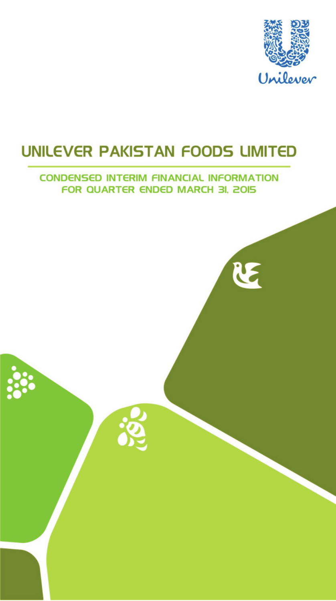

RE

# **UNILEVER PAKISTAN FOODS LIMITED**

# **CONDENSED INTERIM FINANCIAL INFORMATION FOR QUARTER ENDED MARCH 3I, 2015**

38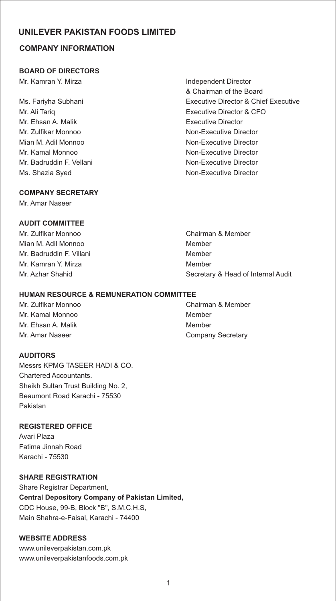# **COMPANY INFORMATION**

#### **BOARD OF DIRECTORS**

Mr. Kamran Y. Mirza **Independent Director** 

Mr. Ehsan A. Malik **Executive Director** Mr. Zulfikar Monnoo Non-Executive Director Mian M. Adil Monnoo Non-Executive Director Mr. Kamal Monnoo Non-Executive Director Mr. Badruddin F. Vellani Non-Executive Director Ms. Shazia Syed **Non-Executive Director** 

# & Chairman of the Board Ms. Fariyha Subhani Executive Director & Chief Executive Mr. Ali Tariq Executive Director & CFO

# **COMPANY SECRETARY**

Mr. Amar Naseer

# **AUDIT COMMITTEE**

Mr. Zulfikar Monnoo Chairman & Member Mian M. Adil Monnoo Member Mr. Badruddin F. Villani Member Mr. Kamran Y. Mirza **Music American State Member** Mr. Azhar Shahid Secretary & Head of Internal Audit

#### **HUMAN RESOURCE & REMUNERATION COMMITTEE**

Mr. Kamal Monnoo Member Mr. Ehsan A. Malik Member Mr. Amar Naseer **Company Secretary** Company Secretary

## **AUDITORS**

Messrs KPMG TASEER HADI & CO. Chartered Accountants. Sheikh Sultan Trust Building No. 2, Beaumont Road Karachi - 75530 Pakistan

## **REGISTERED OFFICE**

Avari Plaza Fatima Jinnah Road Karachi - 75530

#### **SHARE REGISTRATION**

Share Registrar Department, **Central Depository Company of Pakistan Limited,** CDC House, 99-B, Block "B", S.M.C.H.S, Main Shahra-e-Faisal, Karachi - 74400

#### **WEBSITE ADDRESS**

www.unileverpakistan.com.pk www.unileverpakistanfoods.com.pk

Mr. Zulfikar Monnoo Chairman & Member

1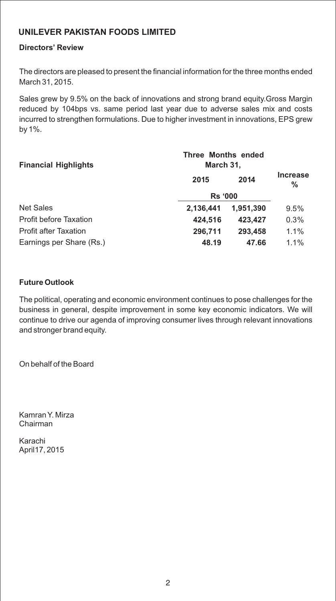# **Directors' Review**

The directors are pleased to present the financial information for the three months ended March 31, 2015.

Sales grew by 9.5% on the back of innovations and strong brand equity.Gross Margin reduced by 104bps vs. same period last year due to adverse sales mix and costs incurred to strengthen formulations. Due to higher investment in innovations, EPS grew by 1%.

| <b>Financial Highlights</b>   | <b>Three Months ended</b><br>March 31, |           |               |
|-------------------------------|----------------------------------------|-----------|---------------|
|                               | 2015                                   | 2014      | Increase<br>% |
|                               | <b>Rs '000</b>                         |           |               |
| Net Sales                     | 2,136,441                              | 1.951.390 | 9.5%          |
| <b>Profit before Taxation</b> | 424,516                                | 423,427   | 0.3%          |
| <b>Profit after Taxation</b>  | 296,711                                | 293,458   | 1.1%          |
| Earnings per Share (Rs.)      | 48.19                                  | 47.66     | 1.1%          |

## **Future Outlook**

The political, operating and economic environment continues to pose challenges for the business in general, despite improvement in some key economic indicators. We will continue to drive our agenda of improving consumer lives through relevant innovations and stronger brand equity.

On behalf of the Board

Kamran Y. Mirza Chairman

Karachi April17, 2015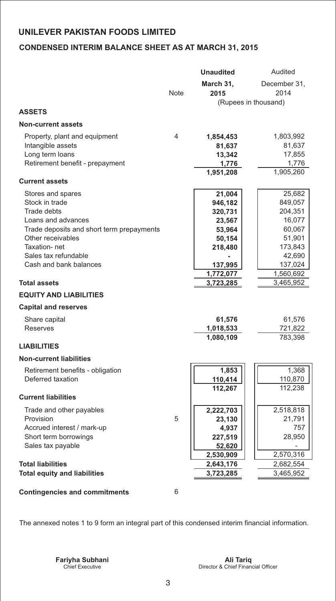# **CONDENSED INTERIM BALANCE SHEET AS AT MARCH 31, 2015**

|                                                |      | <b>Unaudited</b>     | Audited              |
|------------------------------------------------|------|----------------------|----------------------|
|                                                |      | March 31,            | December 31,         |
|                                                | Note | 2015                 | 2014                 |
|                                                |      |                      | (Rupees in thousand) |
| <b>ASSETS</b>                                  |      |                      |                      |
| <b>Non-current assets</b>                      |      |                      |                      |
| Property, plant and equipment                  | 4    | 1,854,453            | 1,803,992            |
| Intangible assets                              |      | 81,637               | 81,637               |
| Long term loans                                |      | 13,342               | 17,855               |
| Retirement benefit - prepayment                |      | 1,776                | 1,776                |
|                                                |      | 1,951,208            | 1,905,260            |
| <b>Current assets</b>                          |      |                      |                      |
| Stores and spares                              |      | 21,004               | 25,682               |
| Stock in trade                                 |      | 946,182              | 849,057              |
| Trade debts                                    |      | 320,731              | 204,351              |
| Loans and advances                             |      | 23,567               | 16,077               |
| Trade deposits and short term prepayments      |      | 53,964               | 60,067               |
| Other receivables                              |      | 50,154               | 51,901               |
| Taxation-net                                   |      | 218,480              | 173,843              |
| Sales tax refundable<br>Cash and bank balances |      |                      | 42,690<br>137,024    |
|                                                |      | 137,995<br>1,772,077 | 1,560,692            |
| <b>Total assets</b>                            |      | 3,723,285            | 3,465,952            |
| <b>EQUITY AND LIABILITIES</b>                  |      |                      |                      |
| <b>Capital and reserves</b>                    |      |                      |                      |
| Share capital                                  |      | 61,576               | 61,576               |
| <b>Reserves</b>                                |      | 1,018,533            | 721,822              |
|                                                |      | 1,080,109            | 783,398              |
| <b>LIABILITIES</b>                             |      |                      |                      |
| <b>Non-current liabilities</b>                 |      |                      |                      |
| Retirement benefits - obligation               |      | 1,853                | 1,368                |
| Deferred taxation                              |      | 110,414              | 110,870              |
|                                                |      | 112,267              | 112,238              |
| <b>Current liabilities</b>                     |      |                      |                      |
| Trade and other payables                       |      | 2,222,703            | 2,518,818            |
| Provision                                      | 5    | 23,130               | 21,791               |
| Accrued interest / mark-up                     |      | 4,937                | 757                  |
| Short term borrowings                          |      | 227,519              | 28,950               |
| Sales tax payable                              |      | 52,620               |                      |
|                                                |      | 2,530,909            | 2,570,316            |
| <b>Total liabilities</b>                       |      | 2,643,176            | 2,682,554            |
| <b>Total equity and liabilities</b>            |      | 3,723,285            | 3,465,952            |
| <b>Contingencies and commitments</b>           | 6    |                      |                      |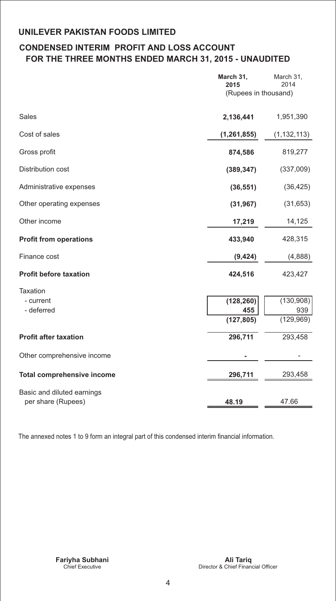# **CONDENSED INTERIM PROFIT AND LOSS ACCOUNT FOR THE THREE MONTHS ENDED MARCH 31, 2015 - UNAUDITED**

|                                   | March 31,<br>2015<br>(Rupees in thousand) | March 31,<br>2014 |
|-----------------------------------|-------------------------------------------|-------------------|
|                                   |                                           |                   |
| <b>Sales</b>                      | 2,136,441                                 | 1,951,390         |
| Cost of sales                     | (1, 261, 855)                             | (1, 132, 113)     |
| Gross profit                      | 874,586                                   | 819,277           |
| Distribution cost                 | (389, 347)                                | (337,009)         |
| Administrative expenses           | (36, 551)                                 | (36, 425)         |
| Other operating expenses          | (31, 967)                                 | (31, 653)         |
| Other income                      | 17,219                                    | 14,125            |
| <b>Profit from operations</b>     | 433,940                                   | 428,315           |
| Finance cost                      | (9, 424)                                  | (4,888)           |
| <b>Profit before taxation</b>     | 424,516                                   | 423,427           |
| Taxation                          |                                           |                   |
| - current                         | (128, 260)                                | (130, 908)        |
| - deferred                        | 455                                       | 939               |
|                                   | (127, 805)                                | (129, 969)        |
| <b>Profit after taxation</b>      | 296,711                                   | 293,458           |
| Other comprehensive income        |                                           |                   |
| <b>Total comprehensive income</b> | 296,711                                   | 293,458           |
| Basic and diluted earnings        |                                           |                   |
| per share (Rupees)                | 48.19                                     | 47.66             |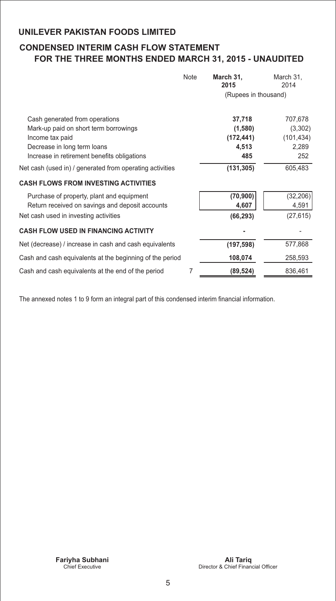# **CONDENSED INTERIM CASH FLOW STATEMENT FOR THE THREE MONTHS ENDED MARCH 31, 2015 - UNAUDITED**

|                                                                                                                                                                          | Note | March 31,<br>2015                               | March 31,<br>2014                                |
|--------------------------------------------------------------------------------------------------------------------------------------------------------------------------|------|-------------------------------------------------|--------------------------------------------------|
|                                                                                                                                                                          |      | (Rupees in thousand)                            |                                                  |
| Cash generated from operations<br>Mark-up paid on short term borrowings<br>Income tax paid<br>Decrease in long term loans<br>Increase in retirement benefits obligations |      | 37,718<br>(1,580)<br>(172, 441)<br>4,513<br>485 | 707,678<br>(3,302)<br>(101, 434)<br>2,289<br>252 |
| Net cash (used in) / generated from operating activities                                                                                                                 |      | (131, 305)                                      | 605,483                                          |
| <b>CASH FLOWS FROM INVESTING ACTIVITIES</b>                                                                                                                              |      |                                                 |                                                  |
| Purchase of property, plant and equipment<br>Return received on savings and deposit accounts<br>Net cash used in investing activities                                    |      | (70, 900)<br>4,607<br>(66, 293)                 | (32, 206)<br>4,591<br>(27, 615)                  |
| <b>CASH FLOW USED IN FINANCING ACTIVITY</b>                                                                                                                              |      |                                                 |                                                  |
| Net (decrease) / increase in cash and cash equivalents                                                                                                                   |      | (197, 598)                                      | 577,868                                          |
| Cash and cash equivalents at the beginning of the period                                                                                                                 |      | 108,074                                         | 258,593                                          |
| Cash and cash equivalents at the end of the period                                                                                                                       | 7    | (89,524)                                        | 836,461                                          |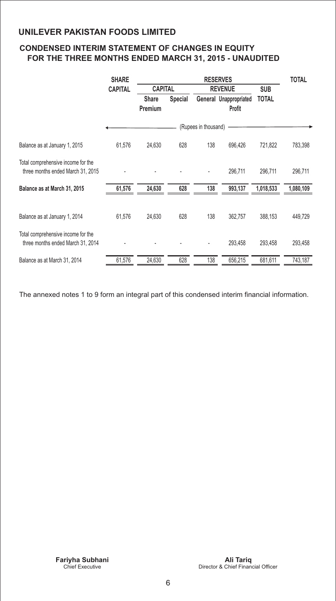# **CONDENSED INTERIM STATEMENT OF CHANGES IN EQUITY FOR THE THREE MONTHS ENDED MARCH 31, 2015 - UNAUDITED**

|                                                                         | <b>SHARE</b>   |                |                |                      | <b>RESERVES</b>        |              | <b>TOTAL</b> |
|-------------------------------------------------------------------------|----------------|----------------|----------------|----------------------|------------------------|--------------|--------------|
|                                                                         | <b>CAPITAL</b> | <b>CAPITAL</b> |                |                      | <b>REVENUE</b>         | <b>SUB</b>   |              |
|                                                                         |                | <b>Share</b>   | <b>Special</b> |                      | General Unappropriated | <b>TOTAL</b> |              |
|                                                                         |                | Premium        |                |                      | <b>Profit</b>          |              |              |
|                                                                         |                |                |                | (Rupees in thousand) |                        |              |              |
| Balance as at January 1, 2015                                           | 61,576         | 24,630         | 628            | 138                  | 696,426                | 721,822      | 783,398      |
| Total comprehensive income for the<br>three months ended March 31, 2015 |                |                |                |                      | 296,711                | 296,711      | 296,711      |
| Balance as at March 31, 2015                                            | 61,576         | 24,630         | 628            | 138                  | 993,137                | 1,018,533    | 1,080,109    |
| Balance as at January 1, 2014                                           | 61,576         | 24,630         | 628            | 138                  | 362,757                | 388,153      | 449,729      |
| Total comprehensive income for the<br>three months ended March 31, 2014 |                |                |                |                      | 293,458                | 293,458      | 293,458      |
| Balance as at March 31, 2014                                            | 61,576         | 24,630         | 628            | 138                  | 656,215                | 681,611      | 743,187      |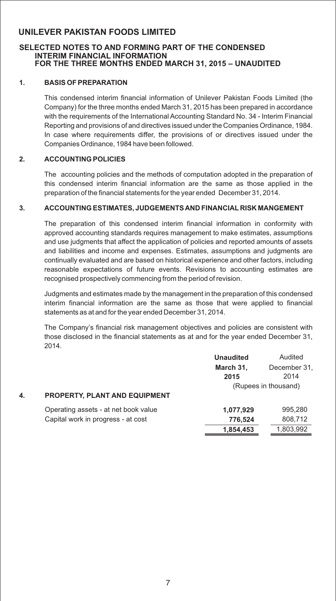#### **SELECTED NOTES TO AND FORMING PART OF THE CONDENSED INTERIM FINANCIAL INFORMATION FOR THE THREE MONTHS ENDED MARCH 31, 2015 – UNAUDITED**

#### **1. BASIS OF PREPARATION**

This condensed interim financial information of Unilever Pakistan Foods Limited (the Company) for the three months ended March 31, 2015 has been prepared in accordance with the requirements of the International Accounting Standard No. 34 - Interim Financial Reporting and provisions of and directives issued under the Companies Ordinance, 1984. In case where requirements differ, the provisions of or directives issued under the Companies Ordinance, 1984 have been followed.

#### **2. ACCOUNTING POLICIES**

The accounting policies and the methods of computation adopted in the preparation of this condensed interim financial information are the same as those applied in the preparation of the financial statements for the year ended December 31, 2014.

#### **3. ACCOUNTING ESTIMATES, JUDGEMENTS AND FINANCIAL RISK MANGEMENT**

The preparation of this condensed interim financial information in conformity with approved accounting standards requires management to make estimates, assumptions and use judgments that affect the application of policies and reported amounts of assets and liabilities and income and expenses. Estimates, assumptions and judgments are continually evaluated and are based on historical experience and other factors, including reasonable expectations of future events. Revisions to accounting estimates are recognised prospectively commencing from the period of revision.

Judgments and estimates made by the management in the preparation of this condensed interim financial information are the same as those that were applied to financial statements as at and for the year ended December 31, 2014.

The Company's financial risk management objectives and policies are consistent with those disclosed in the financial statements as at and for the year ended December 31, 2014.

|    |                                      | <b>Unaudited</b> | Audited              |
|----|--------------------------------------|------------------|----------------------|
|    |                                      | March 31,        | December 31,         |
|    |                                      | 2015             | 2014                 |
|    |                                      |                  | (Rupees in thousand) |
| 4. | PROPERTY, PLANT AND EQUIPMENT        |                  |                      |
|    | Operating assets - at net book value | 1,077,929        | 995.280              |
|    | Capital work in progress - at cost   | 776,524          | 808,712              |
|    |                                      | 1,854,453        | 1,803,992            |
|    |                                      |                  |                      |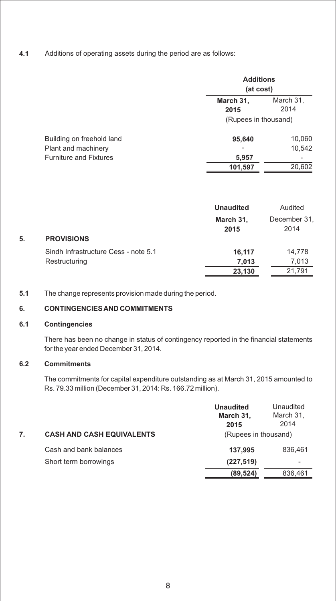**4.1** Additions of operating assets during the period are as follows:

|                               |                      | <b>Additions</b><br>(at cost) |  |  |
|-------------------------------|----------------------|-------------------------------|--|--|
|                               | March 31,<br>2015    | March 31,<br>2014             |  |  |
|                               | (Rupees in thousand) |                               |  |  |
| Building on freehold land     | 95,640               | 10,060                        |  |  |
| Plant and machinery           |                      | 10,542                        |  |  |
| <b>Furniture and Fixtures</b> | 5,957                |                               |  |  |
|                               | 101,597              | 20,602                        |  |  |

|    |                                                       | <b>Unaudited</b>          | Audited                   |
|----|-------------------------------------------------------|---------------------------|---------------------------|
| 5. | <b>PROVISIONS</b>                                     | March 31,<br>2015         | December 31.<br>2014      |
|    | Sindh Infrastructure Cess - note 5.1<br>Restructuring | 16.117<br>7,013<br>23,130 | 14,778<br>7,013<br>21.791 |

**5.1** The change represents provision made during the period.

## **6. CONTINGENCIES AND COMMITMENTS**

#### **6.1 Contingencies**

There has been no change in status of contingency reported in the financial statements for the year ended December 31, 2014.

# **6.2 Commitments**

The commitments for capital expenditure outstanding as at March 31, 2015 amounted to Rs. 79.33 million (December 31, 2014: Rs. 166.72 million).

| <b>CASH AND CASH EQUIVALENTS</b><br>7. | <b>Unaudited</b><br>March 31,<br>2015<br>(Rupees in thousand) | Unaudited<br>March 31,<br>2014 |
|----------------------------------------|---------------------------------------------------------------|--------------------------------|
| Cash and bank balances                 | 137,995                                                       | 836.461                        |
| Short term borrowings                  | (227, 519)                                                    | ۰                              |
|                                        | (89, 524)                                                     | 836,461                        |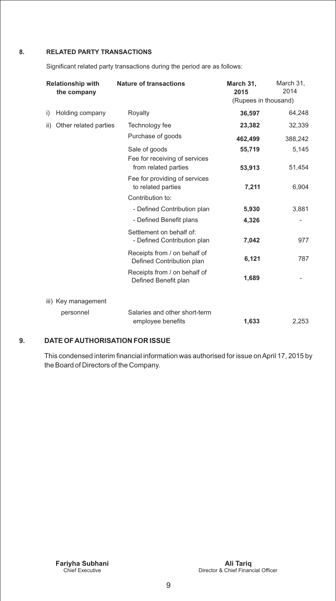## **8. RELATED PARTY TRANSACTIONS**

Significant related party transactions during the period are as follows:

| <b>Relationship with</b><br>the company | <b>Nature of transactions</b>                             | March 31,<br>2015<br>(Rupees in thousand) | March 31,<br>2014 |
|-----------------------------------------|-----------------------------------------------------------|-------------------------------------------|-------------------|
| Holding company<br>i)                   | Royalty                                                   | 36,597                                    | 64,248            |
| Other related parties<br>ii)            | Technology fee                                            | 23,382                                    | 32,339            |
|                                         | Purchase of goods                                         | 462,499                                   | 388,242           |
|                                         | Sale of goods                                             | 55,719                                    | 5,145             |
|                                         | Fee for receiving of services<br>from related parties     | 53,913                                    | 51,454            |
|                                         | Fee for providing of services<br>to related parties       | 7,211                                     | 6,904             |
|                                         | Contribution to:                                          |                                           |                   |
|                                         | - Defined Contribution plan                               | 5,930                                     | 3,881             |
|                                         | - Defined Benefit plans                                   | 4,326                                     |                   |
|                                         | Settlement on behalf of:<br>- Defined Contribution plan   | 7,042                                     | 977               |
|                                         | Receipts from / on behalf of<br>Defined Contribution plan | 6,121                                     | 787               |
|                                         | Receipts from / on behalf of<br>Defined Benefit plan      | 1,689                                     |                   |
| iii) Key management                     |                                                           |                                           |                   |
| personnel                               | Salaries and other short-term<br>employee benefits        | 1,633                                     | 2,253             |

## **9. DATE OF AUTHORISATION FOR ISSUE**

This condensed interim financial information was authorised for issue on April 17, 2015 by the Board of Directors of the Company.